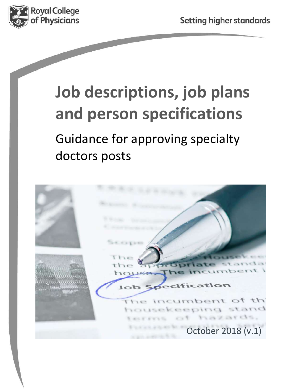

# **Job descriptions, job plans and person specifications**

Guidance for approving specialty doctors posts

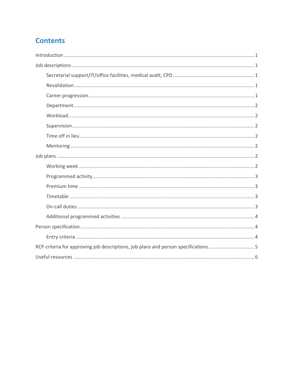## **Contents**

| RCP criteria for approving job descriptions, job plans and person specifications5 |
|-----------------------------------------------------------------------------------|
|                                                                                   |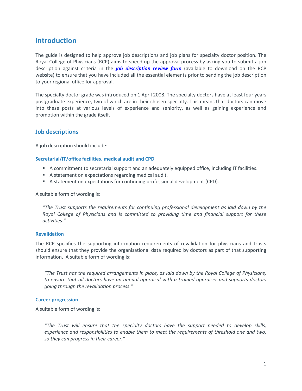### **Introduction**

The guide is designed to help approve job descriptions and job plans for specialty doctor position. The Royal College of Physicians (RCP) aims to speed up the approval process by asking you to submit a job description against criteria in the *[job description review form](https://www.rcplondon.ac.uk/education-practice/advice/advisory-appointments-committees-aac)* (available to download on the RCP website) to ensure that you have included all the essential elements prior to sending the job description to your regional office for approval.

The specialty doctor grade was introduced on 1 April 2008. The specialty doctors have at least four years postgraduate experience, two of which are in their chosen specialty. This means that doctors can move into these posts at various levels of experience and seniority, as well as gaining experience and promotion within the grade itself.

#### **Job descriptions**

A job description should include:

#### **Secretarial/IT/office facilities, medical audit and CPD**

- A commitment to secretarial support and an adequately equipped office, including IT facilities.
- A statement on expectations regarding medical audit.
- A statement on expectations for continuing professional development (CPD).

A suitable form of wording is:

*"The Trust supports the requirements for continuing professional development as laid down by the Royal College of Physicians and is committed to providing time and financial support for these activities."*

#### **Revalidation**

The RCP specifies the supporting information requirements of revalidation for physicians and trusts should ensure that they provide the organisational data required by doctors as part of that supporting information. A suitable form of wording is:

*"The Trust has the required arrangements in place, as laid down by the Royal College of Physicians, to ensure that all doctors have an annual appraisal with a trained appraiser and supports doctors going through the revalidation process."*

#### **Career progression**

A suitable form of wording is:

*"The Trust will ensure that the specialty doctors have the support needed to develop skills, experience and responsibilities to enable them to meet the requirements of threshold one and two, so they can progress in their career."*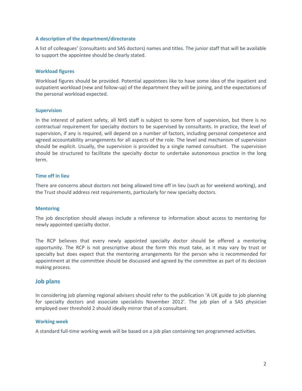#### **A description of the department/directorate**

A list of colleagues' (consultants and SAS doctors) names and titles. The junior staff that will be available to support the appointee should be clearly stated.

#### **Workload figures**

Workload figures should be provided. Potential appointees like to have some idea of the inpatient and outpatient workload (new and follow‐up) of the department they will be joining, and the expectations of the personal workload expected.

#### **Supervision**

In the interest of patient safety, all NHS staff is subject to some form of supervision, but there is no contractual requirement for specialty doctors to be supervised by consultants. In practice, the level of supervision, if any is required, will depend on a number of factors, including personal competence and agreed accountability arrangements for all aspects of the role. The level and mechanism of supervision should be explicit. Usually, the supervision is provided by a single named consultant. The supervision should be structured to facilitate the specialty doctor to undertake autonomous practice in the long term.

#### **Time off in lieu**

There are concerns about doctors not being allowed time off in lieu (such as for weekend working), and the Trust should address rest requirements, particularly for new specialty doctors.

#### **Mentoring**

The job description should always include a reference to information about access to mentoring for newly appointed specialty doctor.

The RCP believes that every newly appointed specialty doctor should be offered a mentoring opportunity. The RCP is not prescriptive about the form this must take, as it may vary by trust or specialty but does expect that the mentoring arrangements for the person who is recommended for appointment at the committee should be discussed and agreed by the committee as part of its decision making process.

#### **Job plans**

In considering job planning regional advisers should refer to the publication 'A UK guide to job planning for specialty doctors and associate specialists November 2012'. The job plan of a SAS physician employed over threshold 2 should ideally mirror that of a consultant.

#### **Working week**

A standard full-time working week will be based on a job plan containing ten programmed activities.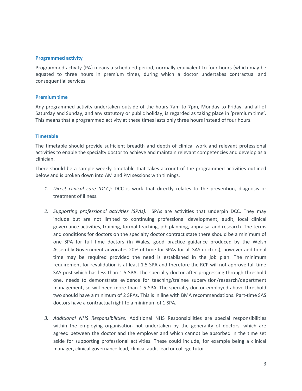#### **Programmed activity**

Programmed activity (PA) means a scheduled period, normally equivalent to four hours (which may be equated to three hours in premium time), during which a doctor undertakes contractual and consequential services.

#### **Premium time**

Any programmed activity undertaken outside of the hours 7am to 7pm, Monday to Friday, and all of Saturday and Sunday, and any statutory or public holiday, is regarded as taking place in 'premium time'. This means that a programmed activity at these times lasts only three hours instead of four hours.

#### **Timetable**

The timetable should provide sufficient breadth and depth of clinical work and relevant professional activities to enable the specialty doctor to achieve and maintain relevant competencies and develop as a clinician.

There should be a sample weekly timetable that takes account of the programmed activities outlined below and is broken down into AM and PM sessions with timings.

- *1. Direct clinical care (DCC)*: DCC is work that directly relates to the prevention, diagnosis or treatment of illness.
- *2. Supporting professional activities (SPAs):* SPAs are activities that underpin DCC. They may include but are not limited to continuing professional development, audit, local clinical governance activities, training, formal teaching, job planning, appraisal and research. The terms and conditions for doctors on the specialty doctor contract state there should be a minimum of one SPA for full time doctors (In Wales, good practice guidance produced by the Welsh Assembly Government advocates 20% of time for SPAs for all SAS doctors), however additional time may be required provided the need is established in the job plan. The minimum requirement for revalidation is at least 1.5 SPA and therefore the RCP will not approve full time SAS post which has less than 1.5 SPA. The specialty doctor after progressing through threshold one, needs to demonstrate evidence for teaching/trainee supervision/research/department management, so will need more than 1.5 SPA. The specialty doctor employed above threshold two should have a minimum of 2 SPAs. This is in line with BMA recommendations. Part-time SAS doctors have a contractual right to a minimum of 1 SPA.
- *3. Additional NHS Responsibilities:* Additional NHS Responsibilities are special responsibilities within the employing organisation not undertaken by the generality of doctors, which are agreed between the doctor and the employer and which cannot be absorbed in the time set aside for supporting professional activities. These could include, for example being a clinical manager, clinical governance lead, clinical audit lead or college tutor.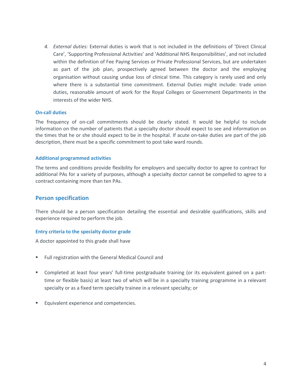*4. External duties:* External duties is work that is not included in the definitions of 'Direct Clinical Care', 'Supporting Professional Activities' and 'Additional NHS Responsibilities', and not included within the definition of Fee Paying Services or Private Professional Services, but are undertaken as part of the job plan, prospectively agreed between the doctor and the employing organisation without causing undue loss of clinical time. This category is rarely used and only where there is a substantial time commitment. External Duties might include: trade union duties, reasonable amount of work for the Royal Colleges or Government Departments in the interests of the wider NHS.

#### **On-call duties**

The frequency of on-call commitments should be clearly stated. It would be helpful to include information on the number of patients that a specialty doctor should expect to see and information on the times that he or she should expect to be in the hospital. If acute on-take duties are part of the job description, there must be a specific commitment to post take ward rounds.

#### **Additional programmed activities**

The terms and conditions provide flexibility for employers and specialty doctor to agree to contract for additional PAs for a variety of purposes, although a specialty doctor cannot be compelled to agree to a contract containing more than ten PAs.

#### **Person specification**

There should be a person specification detailing the essential and desirable qualifications, skills and experience required to perform the job.

#### **Entry criteria to the specialty doctor grade**

A doctor appointed to this grade shall have

- Full registration with the General Medical Council and
- Completed at least four years' full-time postgraduate training (or its equivalent gained on a parttime or flexible basis) at least two of which will be in a specialty training programme in a relevant specialty or as a fixed term specialty trainee in a relevant specialty; or
- Equivalent experience and competencies.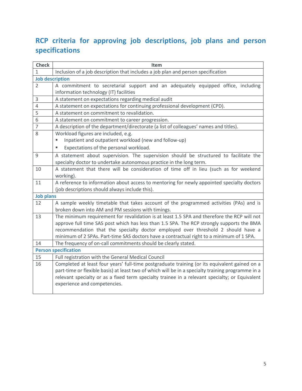# **RCP criteria for approving job descriptions, job plans and person specifications**

| <b>Check</b>                | Item                                                                                              |
|-----------------------------|---------------------------------------------------------------------------------------------------|
| 1                           | Inclusion of a job description that includes a job plan and person specification                  |
|                             | <b>Job description</b>                                                                            |
| $\overline{2}$              | A commitment to secretarial support and an adequately equipped office, including                  |
|                             | information technology (IT) facilities                                                            |
| 3                           | A statement on expectations regarding medical audit                                               |
| $\overline{4}$              | A statement on expectations for continuing professional development (CPD).                        |
| 5                           | A statement on commitment to revalidation.                                                        |
| 6                           | A statement on commitment to career progression.                                                  |
| $\overline{7}$              | A description of the department/directorate (a list of colleagues' names and titles).             |
| 8                           | Workload figures are included, e.g.                                                               |
|                             | Inpatient and outpatient workload (new and follow-up)                                             |
|                             | Expectations of the personal workload.                                                            |
| 9                           | A statement about supervision. The supervision should be structured to facilitate the             |
|                             | specialty doctor to undertake autonomous practice in the long term.                               |
| 10                          | A statement that there will be consideration of time off in lieu (such as for weekend             |
|                             | working).                                                                                         |
| 11                          | A reference to information about access to mentoring for newly appointed specialty doctors        |
|                             | (job descriptions should always include this).                                                    |
| <b>Job plans</b>            |                                                                                                   |
| 12                          | A sample weekly timetable that takes account of the programmed activities (PAs) and is            |
|                             | broken down into AM and PM sessions with timings.                                                 |
| 13                          | The minimum requirement for revalidation is at least 1.5 SPA and therefore the RCP will not       |
|                             | approve full time SAS post which has less than 1.5 SPA. The RCP strongly supports the BMA         |
|                             | recommendation that the specialty doctor employed over threshold 2 should have a                  |
|                             | minimum of 2 SPAs. Part-time SAS doctors have a contractual right to a minimum of 1 SPA.          |
| 14                          | The frequency of on-call commitments should be clearly stated.                                    |
| <b>Person specification</b> |                                                                                                   |
| 15                          | Full registration with the General Medical Council                                                |
| 16                          | Completed at least four years' full-time postgraduate training (or its equivalent gained on a     |
|                             | part-time or flexible basis) at least two of which will be in a specialty training programme in a |
|                             | relevant specialty or as a fixed term specialty trainee in a relevant specialty; or Equivalent    |
|                             | experience and competencies.                                                                      |
|                             |                                                                                                   |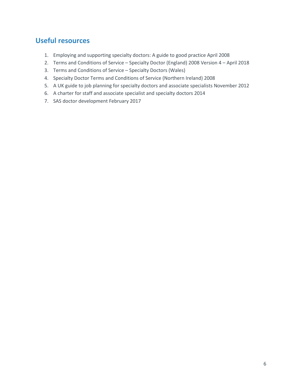## **Useful resources**

- 1. Employing and supporting specialty doctors: A guide to good practice April 2008
- 2. Terms and Conditions of Service Specialty Doctor (England) 2008 Version 4 April 2018
- 3. Terms and Conditions of Service Specialty Doctors (Wales)
- 4. Specialty Doctor Terms and Conditions of Service (Northern Ireland) 2008
- 5. A UK guide to job planning for specialty doctors and associate specialists November 2012
- 6. A charter for staff and associate specialist and specialty doctors 2014
- 7. SAS doctor development February 2017